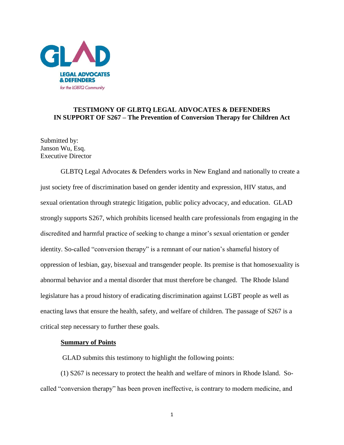

# **TESTIMONY OF GLBTQ LEGAL ADVOCATES & DEFENDERS IN SUPPORT OF S267 – The Prevention of Conversion Therapy for Children Act**

Submitted by: Janson Wu, Esq. Executive Director

GLBTQ Legal Advocates & Defenders works in New England and nationally to create a just society free of discrimination based on gender identity and expression, HIV status, and sexual orientation through strategic litigation, public policy advocacy, and education. GLAD strongly supports S267, which prohibits licensed health care professionals from engaging in the discredited and harmful practice of seeking to change a minor's sexual orientation or gender identity. So-called "conversion therapy" is a remnant of our nation's shameful history of oppression of lesbian, gay, bisexual and transgender people. Its premise is that homosexuality is abnormal behavior and a mental disorder that must therefore be changed. The Rhode Island legislature has a proud history of eradicating discrimination against LGBT people as well as enacting laws that ensure the health, safety, and welfare of children. The passage of S267 is a critical step necessary to further these goals.

#### **Summary of Points**

GLAD submits this testimony to highlight the following points:

(1) S267 is necessary to protect the health and welfare of minors in Rhode Island. Socalled "conversion therapy" has been proven ineffective, is contrary to modern medicine, and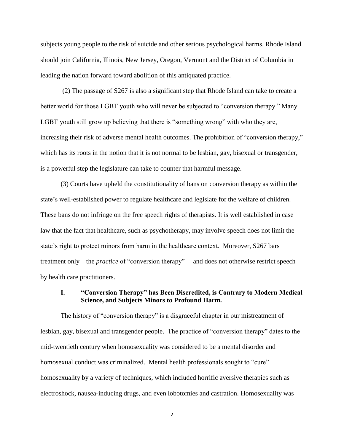subjects young people to the risk of suicide and other serious psychological harms. Rhode Island should join California, Illinois, New Jersey, Oregon, Vermont and the District of Columbia in leading the nation forward toward abolition of this antiquated practice.

(2) The passage of S267 is also a significant step that Rhode Island can take to create a better world for those LGBT youth who will never be subjected to "conversion therapy." Many LGBT youth still grow up believing that there is "something wrong" with who they are, increasing their risk of adverse mental health outcomes. The prohibition of "conversion therapy," which has its roots in the notion that it is not normal to be lesbian, gay, bisexual or transgender, is a powerful step the legislature can take to counter that harmful message.

(3) Courts have upheld the constitutionality of bans on conversion therapy as within the state's well-established power to regulate healthcare and legislate for the welfare of children. These bans do not infringe on the free speech rights of therapists. It is well established in case law that the fact that healthcare, such as psychotherapy, may involve speech does not limit the state's right to protect minors from harm in the healthcare context. Moreover, S267 bars treatment only—the *practice* of "conversion therapy"— and does not otherwise restrict speech by health care practitioners.

### **I. "Conversion Therapy" has Been Discredited, is Contrary to Modern Medical Science, and Subjects Minors to Profound Harm.**

The history of "conversion therapy" is a disgraceful chapter in our mistreatment of lesbian, gay, bisexual and transgender people. The practice of "conversion therapy" dates to the mid-twentieth century when homosexuality was considered to be a mental disorder and homosexual conduct was criminalized. Mental health professionals sought to "cure" homosexuality by a variety of techniques, which included horrific aversive therapies such as electroshock, nausea-inducing drugs, and even lobotomies and castration. Homosexuality was

2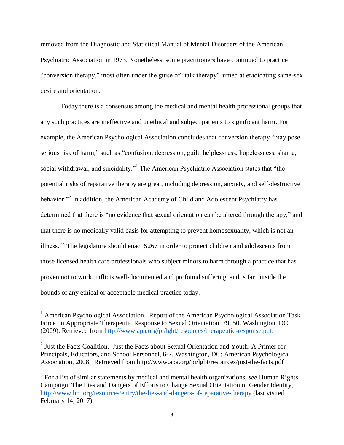removed from the Diagnostic and Statistical Manual of Mental Disorders of the American Psychiatric Association in 1973. Nonetheless, some practitioners have continued to practice "conversion therapy," most often under the guise of "talk therapy" aimed at eradicating same-sex desire and orientation.

Today there is a consensus among the medical and mental health professional groups that any such practices are ineffective and unethical and subject patients to significant harm. For example, the American Psychological Association concludes that conversion therapy "may pose serious risk of harm," such as "confusion, depression, guilt, helplessness, hopelessness, shame, social withdrawal, and suicidality."<sup>1</sup> The American Psychiatric Association states that "the potential risks of reparative therapy are great, including depression, anxiety, and self-destructive behavior."<sup>2</sup> In addition, the American Academy of Child and Adolescent Psychiatry has determined that there is "no evidence that sexual orientation can be altered through therapy," and that there is no medically valid basis for attempting to prevent homosexuality, which is not an illness."<sup>3</sup> The legislature should enact S267 in order to protect children and adolescents from those licensed health care professionals who subject minors to harm through a practice that has proven not to work, inflicts well-documented and profound suffering, and is far outside the bounds of any ethical or acceptable medical practice today.

 $\overline{a}$ 

<sup>&</sup>lt;sup>1</sup> American Psychological Association. Report of the American Psychological Association Task Force on Appropriate Therapeutic Response to Sexual Orientation, 79, 50. Washington, DC, (2009). Retrieved from [http://www.apa.org/pi/lgbt/resources/therapeutic-response.pdf.](http://www.apa.org/pi/lgbt/resources/therapeutic-response.pdf)

 $2$  Just the Facts Coalition. Just the Facts about Sexual Orientation and Youth: A Primer for Principals, Educators, and School Personnel, 6-7. Washington, DC: American Psychological Association, 2008. Retrieved from http://www.apa.org/pi/lgbt/resources/just-the-facts.pdf

<sup>3</sup> For a list of similar statements by medical and mental health organizations, *see* Human Rights Campaign, The Lies and Dangers of Efforts to Change Sexual Orientation or Gender Identity, <http://www.hrc.org/resources/entry/the-lies-and-dangers-of-reparative-therapy> (last visited February 14, 2017).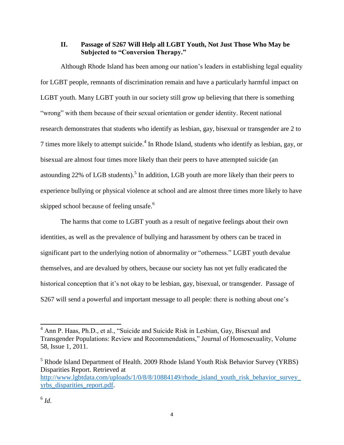### **II. Passage of S267 Will Help all LGBT Youth, Not Just Those Who May be Subjected to "Conversion Therapy."**

Although Rhode Island has been among our nation's leaders in establishing legal equality for LGBT people, remnants of discrimination remain and have a particularly harmful impact on LGBT youth. Many LGBT youth in our society still grow up believing that there is something "wrong" with them because of their sexual orientation or gender identity. Recent national research demonstrates that students who identify as lesbian, gay, bisexual or transgender are 2 to 7 times more likely to attempt suicide.<sup>4</sup> In Rhode Island, students who identify as lesbian, gay, or bisexual are almost four times more likely than their peers to have attempted suicide (an astounding 22% of LGB students).<sup>5</sup> In addition, LGB youth are more likely than their peers to experience bullying or physical violence at school and are almost three times more likely to have skipped school because of feeling unsafe.<sup>6</sup>

The harms that come to LGBT youth as a result of negative feelings about their own identities, as well as the prevalence of bullying and harassment by others can be traced in significant part to the underlying notion of abnormality or "otherness." LGBT youth devalue themselves, and are devalued by others, because our society has not yet fully eradicated the historical conception that it's not okay to be lesbian, gay, bisexual, or transgender. Passage of S267 will send a powerful and important message to all people: there is nothing about one's

 $\overline{a}$ 

 $4$  Ann P. Haas, Ph.D., et al., "Suicide and Suicide Risk in Lesbian, Gay, Bisexual and Transgender Populations: Review and Recommendations," Journal of Homosexuality, Volume 58, Issue 1, 2011.

<sup>&</sup>lt;sup>5</sup> Rhode Island Department of Health. 2009 Rhode Island Youth Risk Behavior Survey (YRBS) Disparities Report. Retrieved at [http://www.lgbtdata.com/uploads/1/0/8/8/10884149/rhode\\_island\\_youth\\_risk\\_behavior\\_survey\\_](http://www.lgbtdata.com/uploads/1/0/8/8/10884149/rhode_island_youth_risk_behavior_survey_yrbs_disparities_report.pdf) [yrbs\\_disparities\\_report.pdf.](http://www.lgbtdata.com/uploads/1/0/8/8/10884149/rhode_island_youth_risk_behavior_survey_yrbs_disparities_report.pdf)